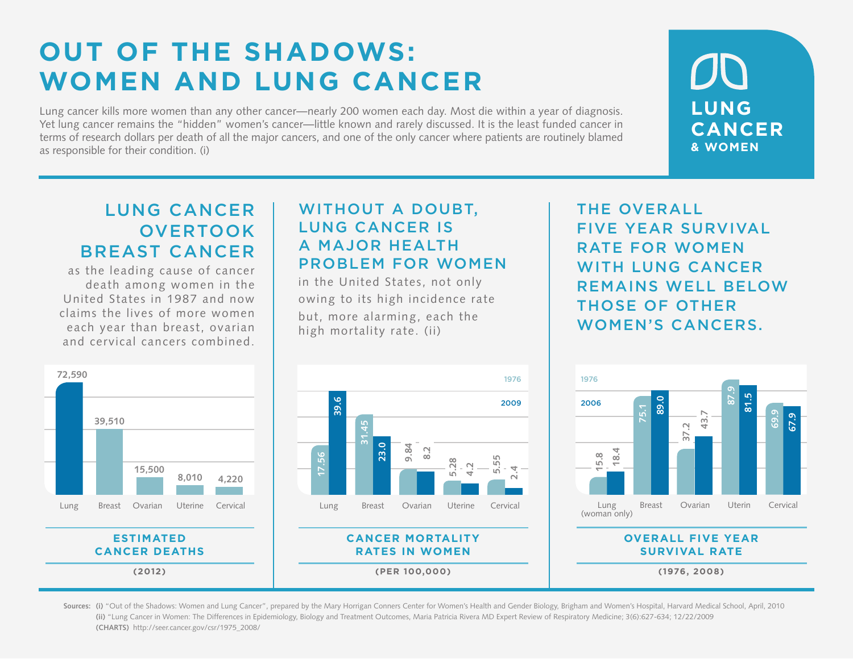# **OUT OF THE SHADOWS: WOMEN AND LUNG CANCER**

Lung cancer kills more women than any other cancer—nearly 200 women each day. Most die within a year of diagnosis. Yet lung cancer remains the "hidden" women's cancer—little known and rarely discussed. It is the least funded cancer in terms of research dollars per death of all the major cancers, and one of the only cancer where patients are routinely blamed as responsible for their condition. (i)

**LUNG CANCER & WOMEN**

### LUNG CANCER **OVERTOOK** BREAST CANCER

as the leading cause of cancer death among women in the United States in 1987 and now claims the lives of more women each year than breast, ovarian and cervical cancers combined.

> **ESTIMATED CANCER DEATHS (2012)**

**39,510**

**72,590**

### WITHOUT A DOUBT, LUNG CANCER IS A MAJOR HEALTH PROBLEM FOR WOMEN

in the United States, not only owing to its high incidence rate but, more alarming, each the high mortality rate. (ii)



THE OVERALL FIVE YEAR SURVIVAL RATE FOR WOMEN WITH LUNG CANCER REMAINS WELL BELOW THOSE OF OTHER WOMEN'S CANCERS.



**(1976, 2008)**

**(i)** "Out of the Shadows: Women and Lung Cancer", prepared by the Mary Horrigan Conners Center for Women's Health and Gender Biology, Brigham and Women's Hospital, Harvard Medical School, April, 2010 **Sources:(ii)** "Lung Cancer in Women: The Differences in Epidemiology, Biology and Treatment Outcomes, Maria Patricia Rivera MD Expert Review of Respiratory Medicine; 3(6):627-634; 12/22/2009 **(CHARTS)** http://seer.cancer.gov/csr/1975\_2008/